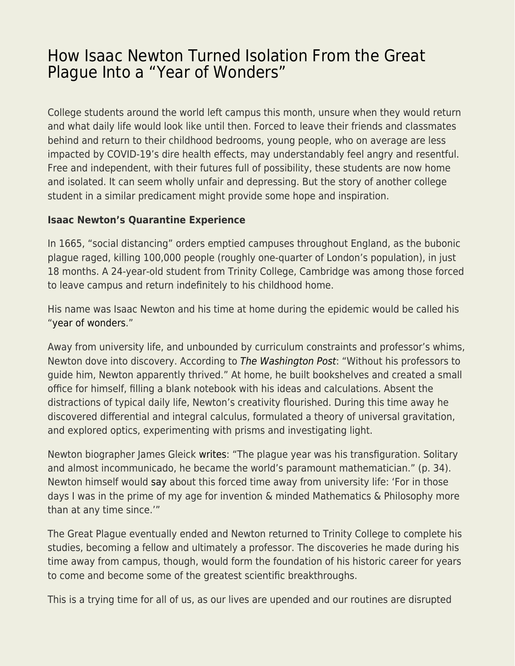## [How Isaac Newton Turned Isolation From the Great](https://everything-voluntary.com/how-isaac-newton-turned-isolation-from-the-great-plague-into-a-year-of-wonders) [Plague Into a "Year of Wonders"](https://everything-voluntary.com/how-isaac-newton-turned-isolation-from-the-great-plague-into-a-year-of-wonders)

College students around the world left campus this month, unsure when they would return and what daily life would look like until then. Forced to leave their friends and classmates behind and return to their childhood bedrooms, young people, who on average are less impacted by COVID-19's dire health effects, may understandably feel angry and resentful. Free and independent, with their futures full of possibility, these students are now home and isolated. It can seem wholly unfair and depressing. But the story of another college student in a similar predicament might provide some hope and inspiration.

## **Isaac Newton's Quarantine Experience**

In 1665, "social distancing" orders emptied campuses throughout England, as the bubonic plague raged, killing 100,000 people (roughly one-quarter of London's population), in just 18 months. A 24-year-old student from Trinity College, Cambridge was among those forced to leave campus and return indefinitely to his childhood home.

His name was Isaac Newton and his time at home during the epidemic would be called his ["year of wonders](https://www.nationaltrust.org.uk/woolsthorpe-manor/features/year-of-wonders)."

Away from university life, and unbounded by curriculum constraints and professor's whims, Newton dove into discovery. According to [The Washington Post](https://www.washingtonpost.com/history/2020/03/12/during-pandemic-isaac-newton-had-work-home-too-he-used-time-wisely/): "Without his professors to guide him, Newton apparently thrived." At home, he built bookshelves and created a small office for himself, filling a blank notebook with his ideas and calculations. Absent the distractions of typical daily life, Newton's creativity flourished. During this time away he discovered differential and integral calculus, formulated a theory of universal gravitation, and explored optics, experimenting with prisms and investigating light.

Newton biographer James Gleick [writes](http://www.amazon.com/Isaac-Newton-James-Gleick/dp/1400032954): "The plague year was his transfiguration. Solitary and almost incommunicado, he became the world's paramount mathematician." (p. 34). Newton himself would [say](https://www.nationaltrust.org.uk/woolsthorpe-manor/features/year-of-wonders) about this forced time away from university life: 'For in those days I was in the prime of my age for invention & minded Mathematics & Philosophy more than at any time since.'"

The Great Plague eventually ended and Newton returned to Trinity College to complete his studies, becoming a fellow and ultimately a professor. The discoveries he made during his time away from campus, though, would form the foundation of his historic career for years to come and become some of the greatest scientific breakthroughs.

This is a trying time for all of us, as our lives are upended and our routines are disrupted